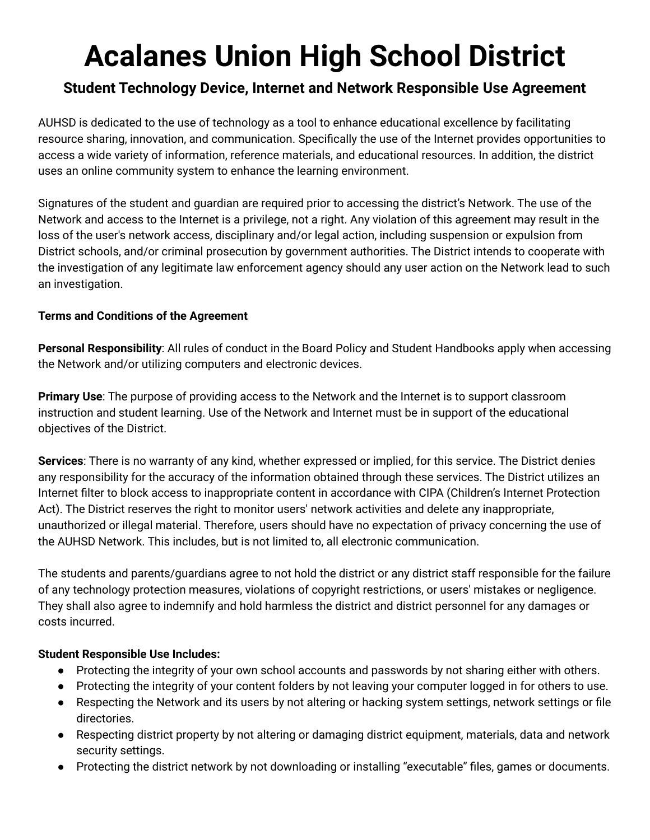## **Acalanes Union High School District**

## **Student Technology Device, Internet and Network Responsible Use Agreement**

AUHSD is dedicated to the use of technology as a tool to enhance educational excellence by facilitating resource sharing, innovation, and communication. Specifically the use of the Internet provides opportunities to access a wide variety of information, reference materials, and educational resources. In addition, the district uses an online community system to enhance the learning environment.

Signatures of the student and guardian are required prior to accessing the district's Network. The use of the Network and access to the Internet is a privilege, not a right. Any violation of this agreement may result in the loss of the user's network access, disciplinary and/or legal action, including suspension or expulsion from District schools, and/or criminal prosecution by government authorities. The District intends to cooperate with the investigation of any legitimate law enforcement agency should any user action on the Network lead to such an investigation.

## **Terms and Conditions of the Agreement**

**Personal Responsibility**: All rules of conduct in the Board Policy and Student Handbooks apply when accessing the Network and/or utilizing computers and electronic devices.

**Primary Use**: The purpose of providing access to the Network and the Internet is to support classroom instruction and student learning. Use of the Network and Internet must be in support of the educational objectives of the District.

**Services**: There is no warranty of any kind, whether expressed or implied, for this service. The District denies any responsibility for the accuracy of the information obtained through these services. The District utilizes an Internet filter to block access to inappropriate content in accordance with CIPA (Children's Internet Protection Act). The District reserves the right to monitor users' network activities and delete any inappropriate, unauthorized or illegal material. Therefore, users should have no expectation of privacy concerning the use of the AUHSD Network. This includes, but is not limited to, all electronic communication.

The students and parents/guardians agree to not hold the district or any district staff responsible for the failure of any technology protection measures, violations of copyright restrictions, or users' mistakes or negligence. They shall also agree to indemnify and hold harmless the district and district personnel for any damages or costs incurred.

## **Student Responsible Use Includes:**

- Protecting the integrity of your own school accounts and passwords by not sharing either with others.
- Protecting the integrity of your content folders by not leaving your computer logged in for others to use.
- Respecting the Network and its users by not altering or hacking system settings, network settings or file directories.
- Respecting district property by not altering or damaging district equipment, materials, data and network security settings.
- Protecting the district network by not downloading or installing "executable" files, games or documents.